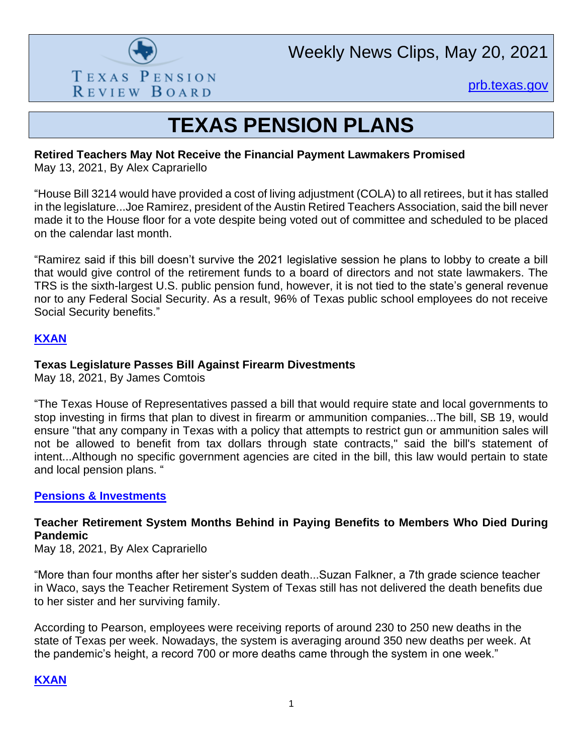

Weekly News Clips, May 20, 2021

[prb.texas.gov](http://www.prb.texas.gov/)

# **TEXAS PENSION PLANS**

# **Retired Teachers May Not Receive the Financial Payment Lawmakers Promised**

May 13, 2021, By Alex Caprariello

"House Bill 3214 would have provided a cost of living adjustment (COLA) to all retirees, but it has stalled in the legislature...Joe Ramirez, president of the Austin Retired Teachers Association, said the bill never made it to the House floor for a vote despite being voted out of committee and scheduled to be placed on the calendar last month.

"Ramirez said if this bill doesn't survive the 2021 legislative session he plans to lobby to create a bill that would give control of the retirement funds to a board of directors and not state lawmakers. The TRS is the sixth-largest U.S. public pension fund, however, it is not tied to the state's general revenue nor to any Federal Social Security. As a result, 96% of Texas public school employees do not receive Social Security benefits."

# **[KXAN](https://www.kxan.com/news/texas-politics/retired-texas-teachers-may-not-receive-the-financial-payment-lawmakers-promised/)**

## **Texas Legislature Passes Bill Against Firearm Divestments**

May 18, 2021, By James Comtois

"The Texas House of Representatives passed a bill that would require state and local governments to stop investing in firms that plan to divest in firearm or ammunition companies...The bill, SB 19, would ensure "that any company in Texas with a policy that attempts to restrict gun or ammunition sales will not be allowed to benefit from tax dollars through state contracts," said the bill's statement of intent...Although no specific government agencies are cited in the bill, this law would pertain to state and local pension plans. "

## **[Pensions & Investments](https://www.pionline.com/legislation/texas-legislature-passes-bill-against-firearm-divestments)**

# **Teacher Retirement System Months Behind in Paying Benefits to Members Who Died During Pandemic**

May 18, 2021, By Alex Caprariello

"More than four months after her sister's sudden death...Suzan Falkner, a 7th grade science teacher in Waco, says the Teacher Retirement System of Texas still has not delivered the death benefits due to her sister and her surviving family.

According to Pearson, employees were receiving reports of around 230 to 250 new deaths in the state of Texas per week. Nowadays, the system is averaging around 350 new deaths per week. At the pandemic's height, a record 700 or more deaths came through the system in one week."

## **[KXAN](https://www.kxan.com/news/education/teacher-retirement-system-months-behind-in-paying-benefits-to-members-who-died-during-pandemic/)**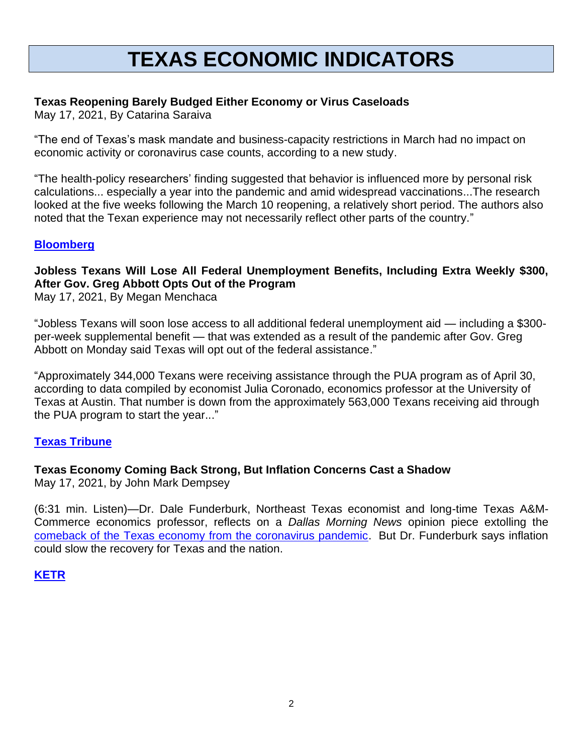# **TEXAS ECONOMIC INDICATORS**

## **Texas Reopening Barely Budged Either Economy or Virus Caseloads**

May 17, 2021, By Catarina Saraiva

"The end of Texas's mask mandate and business-capacity restrictions in March had no impact on economic activity or coronavirus case counts, according to a new study.

"The health-policy researchers' finding suggested that behavior is influenced more by personal risk calculations... especially a year into the pandemic and amid widespread vaccinations...The research looked at the five weeks following the March 10 reopening, a relatively short period. The authors also noted that the Texan experience may not necessarily reflect other parts of the country."

#### **[Bloomberg](https://www.bloomberg.com/news/articles/2021-05-17/texas-reopening-barely-budged-economy-virus-cases-study-finds)**

# **Jobless Texans Will Lose All Federal Unemployment Benefits, Including Extra Weekly \$300, After Gov. Greg Abbott Opts Out of the Program**

May 17, 2021, By Megan Menchaca

"Jobless Texans will soon lose access to all additional federal unemployment aid — including a \$300 per-week supplemental benefit — that was extended as a result of the pandemic after Gov. Greg Abbott on Monday said Texas will opt out of the federal assistance."

"Approximately 344,000 Texans were receiving assistance through the PUA program as of April 30, according to data compiled by economist Julia Coronado, economics professor at the University of Texas at Austin. That number is down from the approximately 563,000 Texans receiving aid through the PUA program to start the year..."

#### **[Texas Tribune](https://www.texastribune.org/2021/05/17/texas-unemployment-300-federal-benefit/)**

## **Texas Economy Coming Back Strong, But Inflation Concerns Cast a Shadow**

May 17, 2021, by John Mark Dempsey

(6:31 min. Listen)—Dr. Dale Funderburk, Northeast Texas economist and long-time Texas A&M-Commerce economics professor, reflects on a *Dallas Morning News* opinion piece extolling the [comeback of the Texas economy from the coronavirus pandemic.](https://www.dallasnews.com/opinion/commentary/2021/05/04/the-texas-economic-comeback-is-here/) But Dr. Funderburk says inflation could slow the recovery for Texas and the nation.

#### **[KETR](https://www.ketr.org/post/texas-economy-coming-back-strong-inflation-concerns-cast-shadow)**